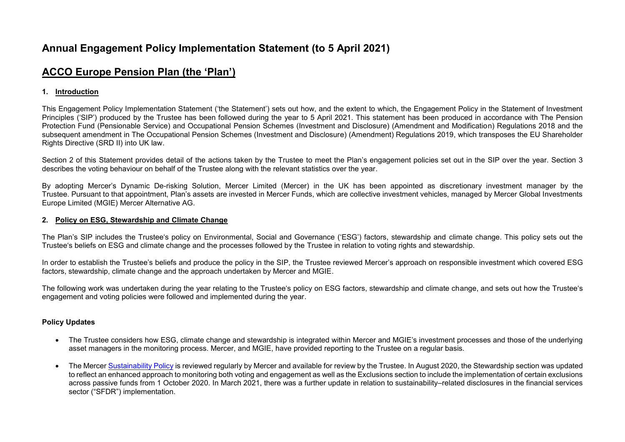# **Annual Engagement Policy Implementation Statement (to 5 April 2021)**

# **ACCO Europe Pension Plan (the 'Plan')**

# **1. Introduction**

This Engagement Policy Implementation Statement ('the Statement') sets out how, and the extent to which, the Engagement Policy in the Statement of Investment Principles ('SIP') produced by the Trustee has been followed during the year to 5 April 2021. This statement has been produced in accordance with The Pension Protection Fund (Pensionable Service) and Occupational Pension Schemes (Investment and Disclosure) (Amendment and Modification) Regulations 2018 and the subsequent amendment in The Occupational Pension Schemes (Investment and Disclosure) (Amendment) Regulations 2019, which transposes the EU Shareholder Rights Directive (SRD II) into UK law.

Section 2 of this Statement provides detail of the actions taken by the Trustee to meet the Plan's engagement policies set out in the SIP over the year. Section 3 describes the voting behaviour on behalf of the Trustee along with the relevant statistics over the year.

By adopting Mercer's Dynamic De-risking Solution, Mercer Limited (Mercer) in the UK has been appointed as discretionary investment manager by the Trustee. Pursuant to that appointment, Plan's assets are invested in Mercer Funds, which are collective investment vehicles, managed by Mercer Global Investments Europe Limited (MGIE) Mercer Alternative AG.

#### **2. Policy on ESG, Stewardship and Climate Change**

The Plan's SIP includes the Trustee's policy on Environmental, Social and Governance ('ESG') factors, stewardship and climate change. This policy sets out the Trustee's beliefs on ESG and climate change and the processes followed by the Trustee in relation to voting rights and stewardship.

In order to establish the Trustee's beliefs and produce the policy in the SIP, the Trustee reviewed Mercer's approach on responsible investment which covered ESG factors, stewardship, climate change and the approach undertaken by Mercer and MGIE.

The following work was undertaken during the year relating to the Trustee's policy on ESG factors, stewardship and climate change, and sets out how the Trustee's engagement and voting policies were followed and implemented during the year.

### **Policy Updates**

- The Trustee considers how ESG, climate change and stewardship is integrated within Mercer and MGIE's investment processes and those of the underlying asset managers in the monitoring process. Mercer, and MGIE, have provided reporting to the Trustee on a regular basis.
- The Mercer [Sustainability](https://investment-solutions.mercer.com/content/dam/mercer-subdomains/delegated-solutions/CorporatePolicies/Sustainability-Policy-March2021.pdf) Policy is reviewed regularly by Mercer and available for review by the Trustee. In August 2020, the Stewardship section was updated to reflect an enhanced approach to monitoring both voting and engagement as well as the Exclusions section to include the implementation of certain exclusions across passive funds from 1 October 2020. In March 2021, there was a further update in relation to sustainability–related disclosures in the financial services sector ("SFDR") implementation.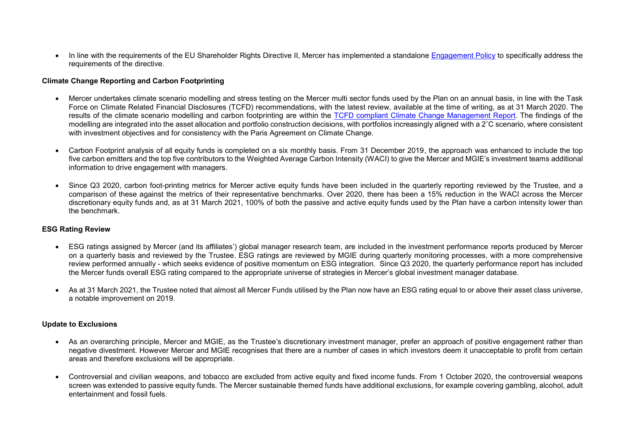In line with the requirements of the EU Shareholder Rights Directive II, Mercer has implemented a standalone [Engagement Policy](https://investment-solutions.mercer.com/content/dam/mercer-subdomains/delegated-solutions/CorporatePolicies/Engagement%20Policy%20-%20MGIE%20and%20MGIM.pdf) to specifically address the requirements of the directive.

#### **Climate Change Reporting and Carbon Footprinting**

- Mercer undertakes climate scenario modelling and stress testing on the Mercer multi sector funds used by the Plan on an annual basis, in line with the Task Force on Climate Related Financial Disclosures (TCFD) recommendations, with the latest review, available at the time of writing, as at 31 March 2020. The results of the climate scenario modelling and carbon footprinting are within the [TCFD compliant Climate Change Management Report.](https://investment-solutions.mercer.com/content/dam/mercer-subdomains/delegated-solutions/CorporatePolicies/Mercer%20Delegated%20Solutions%20Europe%20-%20TCFD%20Statement%20-%20DB.pdf) The findings of the modelling are integrated into the asset allocation and portfolio construction decisions, with portfolios increasingly aligned with a 2˚C scenario, where consistent with investment objectives and for consistency with the Paris Agreement on Climate Change.
- Carbon Footprint analysis of all equity funds is completed on a six monthly basis. From 31 December 2019, the approach was enhanced to include the top five carbon emitters and the top five contributors to the Weighted Average Carbon Intensity (WACI) to give the Mercer and MGIE's investment teams additional information to drive engagement with managers.
- Since Q3 2020, carbon foot-printing metrics for Mercer active equity funds have been included in the quarterly reporting reviewed by the Trustee, and a comparison of these against the metrics of their representative benchmarks. Over 2020, there has been a 15% reduction in the WACI across the Mercer discretionary equity funds and, as at 31 March 2021, 100% of both the passive and active equity funds used by the Plan have a carbon intensity lower than the benchmark.

### **ESG Rating Review**

- ESG ratings assigned by Mercer (and its affiliates') global manager research team, are included in the investment performance reports produced by Mercer on a quarterly basis and reviewed by the Trustee. ESG ratings are reviewed by MGIE during quarterly monitoring processes, with a more comprehensive review performed annually - which seeks evidence of positive momentum on ESG integration. Since Q3 2020, the quarterly performance report has included the Mercer funds overall ESG rating compared to the appropriate universe of strategies in Mercer's global investment manager database.
- As at 31 March 2021, the Trustee noted that almost all Mercer Funds utilised by the Plan now have an ESG rating equal to or above their asset class universe, a notable improvement on 2019.

### **Update to Exclusions**

- As an overarching principle, Mercer and MGIE, as the Trustee's discretionary investment manager, prefer an approach of positive engagement rather than negative divestment. However Mercer and MGIE recognises that there are a number of cases in which investors deem it unacceptable to profit from certain areas and therefore exclusions will be appropriate.
- Controversial and civilian weapons, and tobacco are excluded from active equity and fixed income funds. From 1 October 2020, the controversial weapons screen was extended to passive equity funds. The Mercer sustainable themed funds have additional exclusions, for example covering gambling, alcohol, adult entertainment and fossil fuels.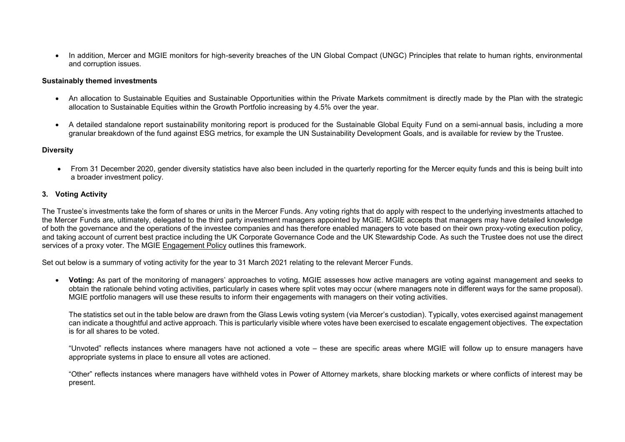In addition, Mercer and MGIE monitors for high-severity breaches of the UN Global Compact (UNGC) Principles that relate to human rights, environmental and corruption issues.

#### **Sustainably themed investments**

- An allocation to Sustainable Equities and Sustainable Opportunities within the Private Markets commitment is directly made by the Plan with the strategic allocation to Sustainable Equities within the Growth Portfolio increasing by 4.5% over the year.
- A detailed standalone report sustainability monitoring report is produced for the Sustainable Global Equity Fund on a semi-annual basis, including a more granular breakdown of the fund against ESG metrics, for example the UN Sustainability Development Goals, and is available for review by the Trustee.

### **Diversity**

• From 31 December 2020, gender diversity statistics have also been included in the quarterly reporting for the Mercer equity funds and this is being built into a broader investment policy.

### **3. Voting Activity**

The Trustee's investments take the form of shares or units in the Mercer Funds. Any voting rights that do apply with respect to the underlying investments attached to the Mercer Funds are, ultimately, delegated to the third party investment managers appointed by MGIE. MGIE accepts that managers may have detailed knowledge of both the governance and the operations of the investee companies and has therefore enabled managers to vote based on their own proxy-voting execution policy, and taking account of current best practice including the UK Corporate Governance Code and the UK Stewardship Code. As such the Trustee does not use the direct services of a proxy voter. The MGIE [Engagement Policy](https://investment-solutions.mercer.com/content/dam/mercer-subdomains/delegated-solutions/CorporatePolicies/Engagement%20Policy%20-%20MGIE%20and%20MGIM.pdf) outlines this framework.

Set out below is a summary of voting activity for the year to 31 March 2021 relating to the relevant Mercer Funds.

 **Voting:** As part of the monitoring of managers' approaches to voting, MGIE assesses how active managers are voting against management and seeks to obtain the rationale behind voting activities, particularly in cases where split votes may occur (where managers note in different ways for the same proposal). MGIE portfolio managers will use these results to inform their engagements with managers on their voting activities.

The statistics set out in the table below are drawn from the Glass Lewis voting system (via Mercer's custodian). Typically, votes exercised against management can indicate a thoughtful and active approach. This is particularly visible where votes have been exercised to escalate engagement objectives. The expectation is for all shares to be voted.

"Unvoted" reflects instances where managers have not actioned a vote – these are specific areas where MGIE will follow up to ensure managers have appropriate systems in place to ensure all votes are actioned.

"Other" reflects instances where managers have withheld votes in Power of Attorney markets, share blocking markets or where conflicts of interest may be present.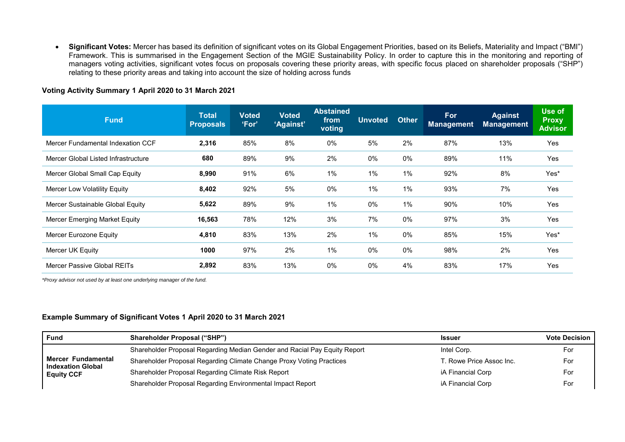**Significant Votes:** Mercer has based its definition of significant votes on its Global Engagement Priorities, based on its Beliefs, Materiality and Impact ("BMI") Framework. This is summarised in the Engagement Section of the MGIE Sustainability Policy. In order to capture this in the monitoring and reporting of managers voting activities, significant votes focus on proposals covering these priority areas, with specific focus placed on shareholder proposals ("SHP") relating to these priority areas and taking into account the size of holding across funds

# **Voting Activity Summary 1 April 2020 to 31 March 2021**

| <b>Fund</b>                          | <b>Total</b><br><b>Proposals</b> | <b>Voted</b><br>'For' | <b>Voted</b><br>'Against' | <b>Abstained</b><br>from<br>voting | <b>Unvoted</b> | <b>Other</b> | For<br><b>Management</b> | <b>Against</b><br><b>Management</b> | Use of<br><b>Proxy</b><br><b>Advisor</b> |
|--------------------------------------|----------------------------------|-----------------------|---------------------------|------------------------------------|----------------|--------------|--------------------------|-------------------------------------|------------------------------------------|
| Mercer Fundamental Indexation CCF    | 2,316                            | 85%                   | 8%                        | $0\%$                              | 5%             | 2%           | 87%                      | 13%                                 | Yes                                      |
| Mercer Global Listed Infrastructure  | 680                              | 89%                   | 9%                        | 2%                                 | $0\%$          | $0\%$        | 89%                      | 11%                                 | Yes                                      |
| Mercer Global Small Cap Equity       | 8,990                            | 91%                   | 6%                        | $1\%$                              | $1\%$          | $1\%$        | 92%                      | 8%                                  | Yes*                                     |
| Mercer Low Volatility Equity         | 8,402                            | 92%                   | 5%                        | $0\%$                              | $1\%$          | 1%           | 93%                      | 7%                                  | <b>Yes</b>                               |
| Mercer Sustainable Global Equity     | 5,622                            | 89%                   | 9%                        | $1\%$                              | 0%             | $1\%$        | 90%                      | 10%                                 | <b>Yes</b>                               |
| <b>Mercer Emerging Market Equity</b> | 16,563                           | 78%                   | 12%                       | 3%                                 | 7%             | $0\%$        | 97%                      | 3%                                  | Yes                                      |
| Mercer Eurozone Equity               | 4,810                            | 83%                   | 13%                       | 2%                                 | $1\%$          | $0\%$        | 85%                      | 15%                                 | Yes*                                     |
| Mercer UK Equity                     | 1000                             | 97%                   | 2%                        | $1\%$                              | $0\%$          | $0\%$        | 98%                      | 2%                                  | <b>Yes</b>                               |
| Mercer Passive Global REITs          | 2,892                            | 83%                   | 13%                       | 0%                                 | 0%             | 4%           | 83%                      | 17%                                 | Yes                                      |

*\*Proxy advisor not used by at least one underlying manager of the fund.* 

### **Example Summary of Significant Votes 1 April 2020 to 31 March 2021**

| <b>Fund</b>                                                         | <b>Shareholder Proposal ("SHP")</b>                                       | Issuer                   | <b>Vote Decision</b> |
|---------------------------------------------------------------------|---------------------------------------------------------------------------|--------------------------|----------------------|
|                                                                     | Shareholder Proposal Regarding Median Gender and Racial Pay Equity Report | Intel Corp.              | For                  |
| Mercer Fundamental<br><b>Indexation Global</b><br><b>Equity CCF</b> | Shareholder Proposal Regarding Climate Change Proxy Voting Practices      | T. Rowe Price Assoc Inc. | For                  |
|                                                                     | Shareholder Proposal Regarding Climate Risk Report                        | iA Financial Corp        | For                  |
|                                                                     | Shareholder Proposal Regarding Environmental Impact Report                | iA Financial Corp        | For                  |